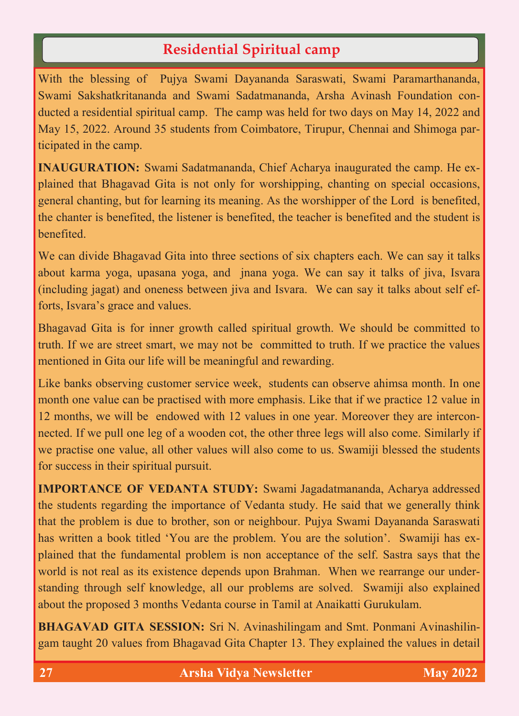# **Residential Spiritual camp**

With the blessing of Pujya Swami Dayananda Saraswati, Swami Paramarthananda, Swami Sakshatkritananda and Swami Sadatmananda, Arsha Avinash Foundation conducted a residential spiritual camp. The camp was held for two days on May 14, 2022 and May 15, 2022. Around 35 students from Coimbatore, Tirupur, Chennai and Shimoga participated in the camp.

**INAUGURATION:** Swami Sadatmananda, Chief Acharya inaugurated the camp. He explained that Bhagavad Gita is not only for worshipping, chanting on special occasions, general chanting, but for learning its meaning. As the worshipper of the Lord is benefited, the chanter is benefited, the listener is benefited, the teacher is benefited and the student is benefited.

We can divide Bhagavad Gita into three sections of six chapters each. We can say it talks about karma yoga, upasana yoga, and jnana yoga. We can say it talks of jiva, Isvara (including jagat) and oneness between jiva and Isvara. We can say it talks about self efforts, Isvara's grace and values.

Bhagavad Gita is for inner growth called spiritual growth. We should be committed to truth. If we are street smart, we may not be committed to truth. If we practice the values mentioned in Gita our life will be meaningful and rewarding.

Like banks observing customer service week, students can observe ahimsa month. In one month one value can be practised with more emphasis. Like that if we practice 12 value in 12 months, we will be endowed with 12 values in one year. Moreover they are interconnected. If we pull one leg of a wooden cot, the other three legs will also come. Similarly if we practise one value, all other values will also come to us. Swamiji blessed the students for success in their spiritual pursuit.

**IMPORTANCE OF VEDANTA STUDY:** Swami Jagadatmananda, Acharya addressed the students regarding the importance of Vedanta study. He said that we generally think that the problem is due to brother, son or neighbour. Pujya Swami Dayananda Saraswati has written a book titled 'You are the problem. You are the solution'. Swamiji has explained that the fundamental problem is non acceptance of the self. Sastra says that the world is not real as its existence depends upon Brahman. When we rearrange our understanding through self knowledge, all our problems are solved. Swamiji also explained about the proposed 3 months Vedanta course in Tamil at Anaikatti Gurukulam.

**BHAGAVAD GITA SESSION:** Sri N. Avinashilingam and Smt. Ponmani Avinashilingam taught 20 values from Bhagavad Gita Chapter 13. They explained the values in detail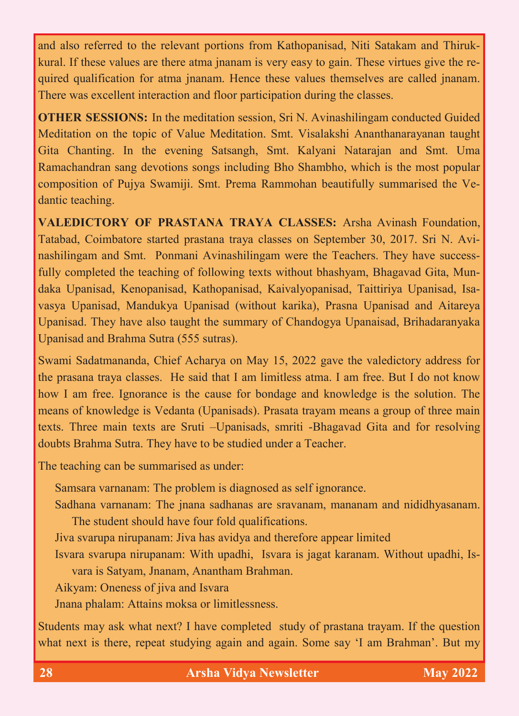and also referred to the relevant portions from Kathopanisad, Niti Satakam and Thirukkural. If these values are there atma jnanam is very easy to gain. These virtues give the required qualification for atma jnanam. Hence these values themselves are called jnanam. There was excellent interaction and floor participation during the classes.

**OTHER SESSIONS:** In the meditation session, Sri N. Avinashilingam conducted Guided Meditation on the topic of Value Meditation. Smt. Visalakshi Ananthanarayanan taught Gita Chanting. In the evening Satsangh, Smt. Kalyani Natarajan and Smt. Uma Ramachandran sang devotions songs including Bho Shambho, which is the most popular composition of Pujya Swamiji. Smt. Prema Rammohan beautifully summarised the Vedantic teaching.

**VALEDICTORY OF PRASTANA TRAYA CLASSES:** Arsha Avinash Foundation, Tatabad, Coimbatore started prastana traya classes on September 30, 2017. Sri N. Avinashilingam and Smt. Ponmani Avinashilingam were the Teachers. They have successfully completed the teaching of following texts without bhashyam, Bhagavad Gita, Mundaka Upanisad, Kenopanisad, Kathopanisad, Kaivalyopanisad, Taittiriya Upanisad, Isavasya Upanisad, Mandukya Upanisad (without karika), Prasna Upanisad and Aitareya Upanisad. They have also taught the summary of Chandogya Upanaisad, Brihadaranyaka Upanisad and Brahma Sutra (555 sutras).

Swami Sadatmananda, Chief Acharya on May 15, 2022 gave the valedictory address for the prasana traya classes. He said that I am limitless atma. I am free. But I do not know how I am free. Ignorance is the cause for bondage and knowledge is the solution. The means of knowledge is Vedanta (Upanisads). Prasata trayam means a group of three main texts. Three main texts are Sruti –Upanisads, smriti -Bhagavad Gita and for resolving doubts Brahma Sutra. They have to be studied under a Teacher.

The teaching can be summarised as under:

Samsara varnanam: The problem is diagnosed as self ignorance.

Sadhana varnanam: The jnana sadhanas are sravanam, mananam and nididhyasanam. The student should have four fold qualifications.

Jiva svarupa nirupanam: Jiva has avidya and therefore appear limited

Isvara svarupa nirupanam: With upadhi, Isvara is jagat karanam. Without upadhi, Isvara is Satyam, Jnanam, Anantham Brahman.

Aikyam: Oneness of jiva and Isvara

Jnana phalam: Attains moksa or limitlessness.

Students may ask what next? I have completed study of prastana trayam. If the question what next is there, repeat studying again and again. Some say 'I am Brahman'. But my